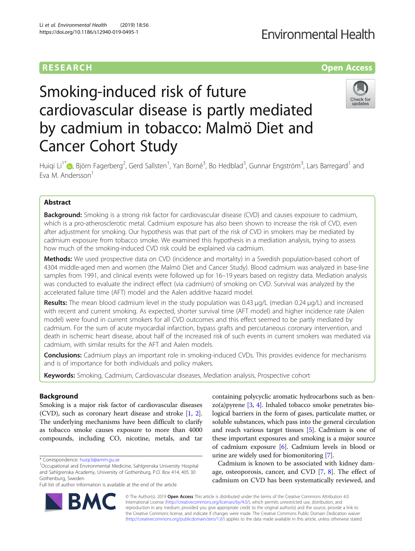## RESEARCH **RESEARCH CONSUMING THE CONSUMING THE CONSUMING TENS**

# Smoking-induced risk of future cardiovascular disease is partly mediated by cadmium in tobacco: Malmö Diet and Cancer Cohort Study



Huiqi Li<sup>1[\\*](http://orcid.org/0000-0002-1127-0829)</sup>©, Björn Fagerberg<sup>2</sup>, Gerd Sallsten<sup>1</sup>, Yan Borné<sup>3</sup>, Bo Hedblad<sup>3</sup>, Gunnar Engström<sup>3</sup>, Lars Barregard<sup>1</sup> and Eva M. Andersson<sup>1</sup>

## Abstract

**Background:** Smoking is a strong risk factor for cardiovascular disease (CVD) and causes exposure to cadmium, which is a pro-atherosclerotic metal. Cadmium exposure has also been shown to increase the risk of CVD, even after adjustment for smoking. Our hypothesis was that part of the risk of CVD in smokers may be mediated by cadmium exposure from tobacco smoke. We examined this hypothesis in a mediation analysis, trying to assess how much of the smoking-induced CVD risk could be explained via cadmium.

Methods: We used prospective data on CVD (incidence and mortality) in a Swedish population-based cohort of 4304 middle-aged men and women (the Malmö Diet and Cancer Study). Blood cadmium was analyzed in base-line samples from 1991, and clinical events were followed up for 16–19 years based on registry data. Mediation analysis was conducted to evaluate the indirect effect (via cadmium) of smoking on CVD. Survival was analyzed by the accelerated failure time (AFT) model and the Aalen additive hazard model.

Results: The mean blood cadmium level in the study population was 0.43 μg/L (median 0.24 μg/L) and increased with recent and current smoking. As expected, shorter survival time (AFT model) and higher incidence rate (Aalen model) were found in current smokers for all CVD outcomes and this effect seemed to be partly mediated by cadmium. For the sum of acute myocardial infarction, bypass grafts and percutaneous coronary intervention, and death in ischemic heart disease, about half of the increased risk of such events in current smokers was mediated via cadmium, with similar results for the AFT and Aalen models.

**Conclusions:** Cadmium plays an important role in smoking-induced CVDs. This provides evidence for mechanisms and is of importance for both individuals and policy makers.

Keywords: Smoking, Cadmium, Cardiovascular diseases, Mediation analysis, Prospective cohort

## Background

Smoking is a major risk factor of cardiovascular diseases (CVD), such as coronary heart disease and stroke [[1,](#page-8-0) [2](#page-8-0)]. The underlying mechanisms have been difficult to clarify as tobacco smoke causes exposure to more than 4000 compounds, including CO, nicotine, metals, and tar

Full list of author information is available at the end of the article

containing polycyclic aromatic hydrocarbons such as ben $zo(a)$  pyrene  $[3, 4]$  $[3, 4]$  $[3, 4]$  $[3, 4]$ . Inhaled tobacco smoke penetrates biological barriers in the form of gases, particulate matter, or soluble substances, which pass into the general circulation and reach various target tissues [\[5\]](#page-8-0). Cadmium is one of these important exposures and smoking is a major source of cadmium exposure [[6\]](#page-8-0). Cadmium levels in blood or urine are widely used for biomonitoring [[7](#page-8-0)].

Cadmium is known to be associated with kidney damage, osteoporosis, cancer, and CVD [[7,](#page-8-0) [8\]](#page-8-0). The effect of cadmium on CVD has been systematically reviewed, and



© The Author(s). 2019 **Open Access** This article is distributed under the terms of the Creative Commons Attribution 4.0 International License [\(http://creativecommons.org/licenses/by/4.0/](http://creativecommons.org/licenses/by/4.0/)), which permits unrestricted use, distribution, and reproduction in any medium, provided you give appropriate credit to the original author(s) and the source, provide a link to the Creative Commons license, and indicate if changes were made. The Creative Commons Public Domain Dedication waiver [\(http://creativecommons.org/publicdomain/zero/1.0/](http://creativecommons.org/publicdomain/zero/1.0/)) applies to the data made available in this article, unless otherwise stated.

<sup>\*</sup> Correspondence: [huiqi.li@amm.gu.se](mailto:huiqi.li@amm.gu.se) <sup>1</sup>

<sup>&</sup>lt;sup>1</sup>Occupational and Environmental Medicine, Sahlgrenska University Hospital and Sahlgrenska Academy, University of Gothenburg, P.O. Box 414, 405 30 Gothenburg, Sweden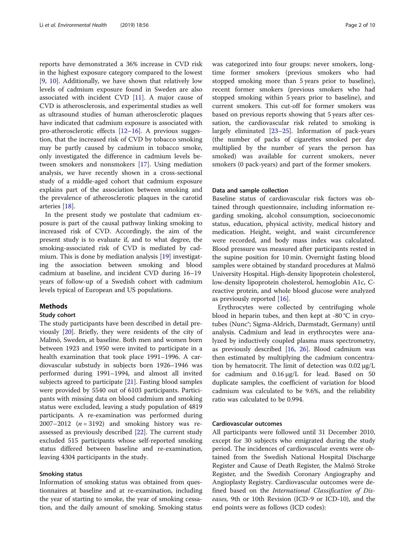reports have demonstrated a 36% increase in CVD risk in the highest exposure category compared to the lowest [[9,](#page-8-0) [10\]](#page-8-0). Additionally, we have shown that relatively low levels of cadmium exposure found in Sweden are also associated with incident CVD [[11\]](#page-8-0). A major cause of CVD is atherosclerosis, and experimental studies as well as ultrasound studies of human atherosclerotic plaques have indicated that cadmium exposure is associated with pro-atherosclerotic effects [\[12](#page-8-0)–[16\]](#page-8-0). A previous suggestion, that the increased risk of CVD by tobacco smoking may be partly caused by cadmium in tobacco smoke, only investigated the difference in cadmium levels between smokers and nonsmokers [\[17](#page-8-0)]. Using mediation analysis, we have recently shown in a cross-sectional study of a middle-aged cohort that cadmium exposure explains part of the association between smoking and the prevalence of atherosclerotic plaques in the carotid arteries [[18\]](#page-8-0).

In the present study we postulate that cadmium exposure is part of the causal pathway linking smoking to increased risk of CVD. Accordingly, the aim of the present study is to evaluate if, and to what degree, the smoking-associated risk of CVD is mediated by cadmium. This is done by mediation analysis [[19](#page-8-0)] investigating the association between smoking and blood cadmium at baseline, and incident CVD during 16–19 years of follow-up of a Swedish cohort with cadmium levels typical of European and US populations.

#### Methods

## Study cohort

The study participants have been described in detail previously [[20\]](#page-8-0). Briefly, they were residents of the city of Malmö, Sweden, at baseline. Both men and women born between 1923 and 1950 were invited to participate in a health examination that took place 1991–1996. A cardiovascular substudy in subjects born 1926–1946 was performed during 1991–1994, and almost all invited subjects agreed to participate [\[21](#page-8-0)]. Fasting blood samples were provided by 5540 out of 6103 participants. Participants with missing data on blood cadmium and smoking status were excluded, leaving a study population of 4819 participants. A re-examination was performed during 2007–2012  $(n = 3192)$  and smoking history was reassessed as previously described [\[22](#page-8-0)]. The current study excluded 515 participants whose self-reported smoking status differed between baseline and re-examination, leaving 4304 participants in the study.

#### Smoking status

Information of smoking status was obtained from questionnaires at baseline and at re-examination, including the year of starting to smoke, the year of smoking cessation, and the daily amount of smoking. Smoking status was categorized into four groups: never smokers, longtime former smokers (previous smokers who had stopped smoking more than 5 years prior to baseline), recent former smokers (previous smokers who had stopped smoking within 5 years prior to baseline), and current smokers. This cut-off for former smokers was based on previous reports showing that 5 years after cessation, the cardiovascular risk related to smoking is largely eliminated [\[23](#page-8-0)–[25](#page-8-0)]. Information of pack-years (the number of packs of cigarettes smoked per day multiplied by the number of years the person has smoked) was available for current smokers, never smokers (0 pack-years) and part of the former smokers.

#### Data and sample collection

Baseline status of cardiovascular risk factors was obtained through questionnaire, including information regarding smoking, alcohol consumption, socioeconomic status, education, physical activity, medical history and medication. Height, weight, and waist circumference were recorded, and body mass index was calculated. Blood pressure was measured after participants rested in the supine position for 10 min. Overnight fasting blood samples were obtained by standard procedures at Malmö University Hospital. High-density lipoprotein cholesterol, low-density lipoprotein cholesterol, hemoglobin A1c, Creactive protein, and whole blood glucose were analyzed as previously reported [\[16](#page-8-0)].

Erythrocytes were collected by centrifuging whole blood in heparin tubes, and then kept at -80 °C in cryotubes (Nunc®; Sigma-Aldrich, Darmstadt, Germany) until analysis. Cadmium and lead in erythrocytes were analyzed by inductively coupled plasma mass spectrometry, as previously described [[16,](#page-8-0) [26\]](#page-8-0). Blood cadmium was then estimated by multiplying the cadmium concentration by hematocrit. The limit of detection was 0.02 μg/L for cadmium and 0.16 μg/L for lead. Based on 50 duplicate samples, the coefficient of variation for blood cadmium was calculated to be 9.6%, and the reliability ratio was calculated to be 0.994.

#### Cardiovascular outcomes

All participants were followed until 31 December 2010, except for 30 subjects who emigrated during the study period. The incidences of cardiovascular events were obtained from the Swedish National Hospital Discharge Register and Cause of Death Register, the Malmö Stroke Register, and the Swedish Coronary Angiography and Angioplasty Registry. Cardiovascular outcomes were defined based on the International Classification of Diseases, 9th or 10th Revision (ICD-9 or ICD-10), and the end points were as follows (ICD codes):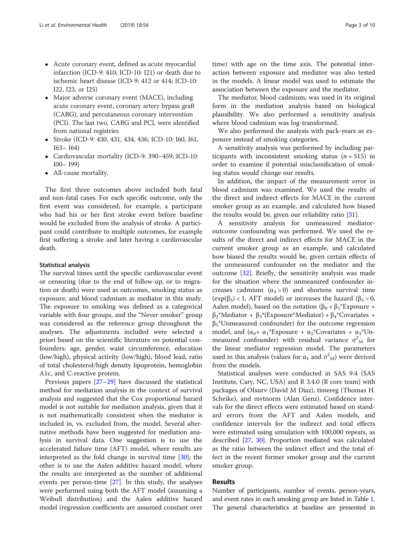- Acute coronary event, defined as acute myocardial infarction (ICD-9: 410; ICD-10: I21) or death due to ischemic heart disease (ICD-9: 412 or 414; ICD-10: I22, I23, or I25)
- Major adverse coronary event (MACE), including acute coronary event, coronary artery bypass graft (CABG), and percutaneous coronary intervention (PCI). The last two, CABG and PCI, were identified from national registries
- Stroke (ICD-9: 430, 431, 434, 436; ICD-10: I60, I61, I63– I64)
- Cardiovascular mortality (ICD-9: 390–459; ICD-10: I00– I99)
- All-cause mortality.

The first three outcomes above included both fatal and non-fatal cases. For each specific outcome, only the first event was considered; for example, a participant who had his or her first stroke event before baseline would be excluded from the analysis of stroke. A participant could contribute to multiple outcomes, for example first suffering a stroke and later having a cardiovascular death.

#### Statistical analysis

The survival times until the specific cardiovascular event or censoring (due to the end of follow-up, or to migration or death) were used as outcomes, smoking status as exposure, and blood cadmium as mediator in this study. The exposure to smoking was defined as a categorical variable with four groups, and the "Never smoker" group was considered as the reference group throughout the analyses. The adjustments included were selected a priori based on the scientific literature on potential confounders: age, gender, waist circumference, education (low/high), physical activity (low/high), blood lead, ratio of total cholesterol/high density lipoprotein, hemoglobin A1c, and C-reactive protein.

Previous papers [[27](#page-8-0)–[29](#page-8-0)] have discussed the statistical method for mediation analysis in the context of survival analysis and suggested that the Cox proportional hazard model is not suitable for mediation analysis, given that it is not mathematically consistent when the mediator is included in, vs. excluded from, the model. Several alternative methods have been suggested for mediation analysis in survival data. One suggestion is to use the accelerated failure time (AFT) model, where results are interpreted as the fold change in survival time [[30\]](#page-8-0); the other is to use the Aalen additive hazard model, where the results are interpreted as the number of additional events per person-time [[27\]](#page-8-0). In this study, the analyses were performed using both the AFT model (assuming a Weibull distribution) and the Aalen additive hazard model (regression coefficients are assumed constant over time) with age on the time axis. The potential interaction between exposure and mediator was also tested in the models. A linear model was used to estimate the association between the exposure and the mediator.

The mediator, blood cadmium, was used in its original form in the mediation analysis based on biological plausibility. We also performed a sensitivity analysis where blood cadmium was log-transformed.

We also performed the analysis with pack-years as exposure instead of smoking categories.

A sensitivity analysis was performed by including participants with inconsistent smoking status ( $n = 515$ ) in order to examine if potential misclassification of smoking status would change our results.

In addition, the impact of the measurement error in blood cadmium was examined. We used the results of the direct and indirect effects for MACE in the current smoker group as an example, and calculated how biased the results would be, given our reliability ratio [\[31](#page-8-0)].

A sensitivity analysis for unmeasured mediatoroutcome confounding was performed. We used the results of the direct and indirect effects for MACE in the current smoker group as an example, and calculated how biased the results would be, given certain effects of the unmeasured confounder on the mediator and the outcome [[32\]](#page-8-0). Briefly, the sensitivity analysis was made for the situation where the unmeasured confounder increases cadmium  $(\alpha_3 > 0)$  and shortens survival time  $(exp(\beta_5) < 1, \text{ AFT model})$  or increases the hazard  $(\beta_5 > 0, \text{ S}$ Aalen model), based on the notation  $(\beta_0 + \beta_1 * \text{Exposure} + \text{Exposure} + \text{Exposure} + \text{Exposure} + \text{Exposure} + \text{Exposure} + \text{Exposure} + \text{Exposure} + \text{Exposure} + \text{Exposure} + \text{Exposure} + \text{Exposure} + \text{Exposure} + \text{Exposure} + \text{Exposure} + \text{Exposure} + \text{Exposure} + \text{Exposure} + \text{Exposure} + \text{Exposure} + \text{Exposure} + \text{Exposure} + \text{Exposure} + \text{Exposure} + \text{Exposure}$  $β<sub>2</sub><sup>*</sup>Mediator + β<sub>3</sub><sup>*</sup>(Exposure<sup>*</sup>Mediator) + β<sub>4</sub><sup>*</sup>Covariates +$  $\beta_5^*$ Unmeasured confounder) for the outcome regression model, and  $(\alpha_0 + \alpha_1)$ <sup>\*</sup>Exposure +  $\alpha_2$ <sup>\*</sup>Covariates +  $\alpha_3$ <sup>\*</sup>Unmeasured confounder) with residual variance  $\sigma_{\rm M}^2$  for the linear mediator regression model. The parameters used in this analysis (values for  $\alpha_1$  and  $\sigma^2$ <sub>M</sub>) were derived from the models.

Statistical analyses were conducted in SAS 9.4 (SAS Institute, Cary, NC, USA) and R 3.4.0 (R core team) with packages of OIsurv (David M Diaz), timereg (Thomas H. Scheike), and mvtnorm (Alan Genz). Confidence intervals for the direct effects were estimated based on standard errors from the AFT and Aalen models, and confidence intervals for the indirect and total effects were estimated using simulation with 100,000 repeats, as described [\[27,](#page-8-0) [30](#page-8-0)]. Proportion mediated was calculated as the ratio between the indirect effect and the total effect in the recent former smoker group and the current smoker group.

## Results

Number of participants, number of events, person-years, and event rates in each smoking group are listed in Table [1](#page-3-0). The general characteristics at baseline are presented in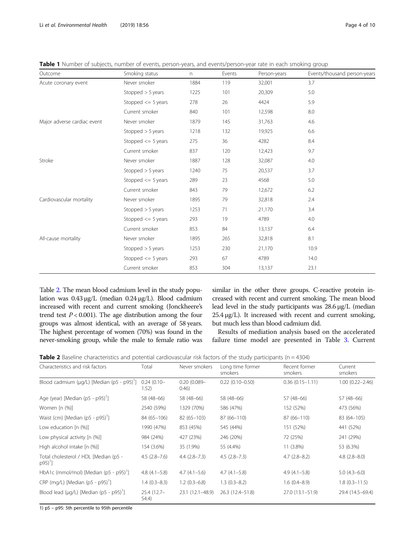<span id="page-3-0"></span>Table 1 Number of subjects, number of events, person-years, and events/person-year rate in each smoking group

| Outcome                     | Smoking status        | n    | Events | Person-years | Events/thousand person-years |
|-----------------------------|-----------------------|------|--------|--------------|------------------------------|
| Acute coronary event        | Never smoker          | 1884 | 119    | 32,001       | 3.7                          |
|                             | Stopped $>$ 5 years   | 1225 | 101    | 20,309       | 5.0                          |
|                             | Stopped $<=$ 5 years  | 278  | 26     | 4424         | 5.9                          |
|                             | Current smoker        | 840  | 101    | 12,598       | 8.0                          |
| Major adverse cardiac event | Never smoker          | 1879 | 145    | 31,763       | 4.6                          |
|                             | Stopped $>$ 5 years   | 1218 | 132    | 19,925       | 6.6                          |
|                             | Stopped $<=$ 5 years  | 275  | 36     | 4282         | 8.4                          |
|                             | Current smoker        | 837  | 120    | 12,423       | 9.7                          |
| Stroke                      | Never smoker          | 1887 | 128    | 32,087       | 4.0                          |
|                             | Stopped $>$ 5 years   | 1240 | 75     | 20,537       | 3.7                          |
|                             | Stopped $\le$ 5 years | 289  | 23     | 4568         | 5.0                          |
|                             | Current smoker        | 843  | 79     | 12,672       | 6.2                          |
| Cardiovascular mortality    | Never smoker          | 1895 | 79     | 32,818       | 2.4                          |
|                             | Stopped $>$ 5 years   | 1253 | 71     | 21,170       | 3.4                          |
|                             | Stopped $<=$ 5 years  | 293  | 19     | 4789         | 4.0                          |
|                             | Current smoker        | 853  | 84     | 13,137       | 6.4                          |
| All-cause mortality         | Never smoker          | 1895 | 265    | 32,818       | 8.1                          |
|                             | Stopped $>$ 5 years   | 1253 | 230    | 21,170       | 10.9                         |
|                             | Stopped $<=$ 5 years  | 293  | 67     | 4789         | 14.0                         |
|                             | Current smoker        | 853  | 304    | 13,137       | 23.1                         |

Table 2. The mean blood cadmium level in the study population was 0.43 μg/L (median 0.24 μg/L). Blood cadmium increased with recent and current smoking (Jonckheere's trend test  $P < 0.001$ ). The age distribution among the four groups was almost identical, with an average of 58 years. The highest percentage of women (70%) was found in the never-smoking group, while the male to female ratio was similar in the other three groups. C-reactive protein increased with recent and current smoking. The mean blood lead level in the study participants was 28.6 μg/L (median  $25.4 \mu g/L$ ). It increased with recent and current smoking, but much less than blood cadmium did.

Results of mediation analysis based on the accelerated failure time model are presented in Table [3.](#page-4-0) Current

**Table 2** Baseline characteristics and potential cardiovascular risk factors of the study participants ( $n = 4304$ )

| Characteristics and risk factors                                  | Total                  | Never smokers           | Long time former<br>smokers | Recent former<br>smokers | Current<br>smokers  |
|-------------------------------------------------------------------|------------------------|-------------------------|-----------------------------|--------------------------|---------------------|
| Blood cadmium ( $\mu q/L$ ) [Median ( $p5 - p95$ ) <sup>1</sup> ] | $0.24(0.10 -$<br>1.52) | $0.20(0.089 -$<br>0.46) | $0.22(0.10 - 0.50)$         | $0.36(0.15 - 1.11)$      | $1.00(0.22 - 2.46)$ |
| Age (year) [Median (p5 - p95) <sup>1</sup> ]                      | 58 (48-66)             | 58 (48-66)              | 58 (48-66)                  | $57(48-66)$              | $57(48-66)$         |
| Women [n (%)]                                                     | 2540 (59%)             | 1329 (70%)              | 586 (47%)                   | 152 (52%)                | 473 (56%)           |
| Waist (cm) [Median ( $p5 - p95$ ) <sup>1</sup> ]                  | 84 (65-106)            | $82(65 - 103)$          | $87(66 - 110)$              | 87 (66-110)              | 83 (64-105)         |
| Low education $[n (%)]$                                           | 1990 (47%)             | 853 (45%)               | 545 (44%)                   | 151 (52%)                | 441 (52%)           |
| Low physical activity [n (%)]                                     | 984 (24%)              | 427 (23%)               | 246 (20%)                   | 72 (25%)                 | 241 (29%)           |
| High alcohol intake [n (%)]                                       | 154 (3.6%)             | 35 (1.9%)               | 55 (4.4%)                   | $11(3.8\%)$              | 53 (6.3%)           |
| Total cholesterol / HDL [Median (p5 -<br>$p95$ <sup>1</sup> ]     | $4.5(2.8 - 7.6)$       | $4.4(2.8-7.3)$          | $4.5(2.8 - 7.3)$            | $4.7(2.8-8.2)$           | $4.8(2.8 - 8.0)$    |
| HbA1c (mmol/mol) [Median ( $p5 - p95$ ) <sup>1</sup> ]            | $4.8(4.1 - 5.8)$       | $4.7(4.1 - 5.6)$        | $4.7(4.1 - 5.8)$            | $4.9(4.1 - 5.8)$         | $5.0(4.3-6.0)$      |
| $CRP$ (mg/L) [Median (p5 - p95) <sup>1</sup> ]                    | $1.4(0.3-8.3)$         | $1.2(0.3-6.8)$          | $1.3(0.3-8.2)$              | $1.6(0.4 - 8.9)$         | $1.8(0.3 - 11.5)$   |
| Blood lead ( $\mu$ g/L) [Median ( $p5 - p95$ ) <sup>1</sup> ]     | $25.4(12.7-$<br>54.4)  | 23.1 (12.1-48.9)        | 26.3 (12.4–51.8)            | $27.0(13.1 - 51.9)$      | 29.4 (14.5-69.4)    |

1) p5 – p95: 5th percentile to 95th percentile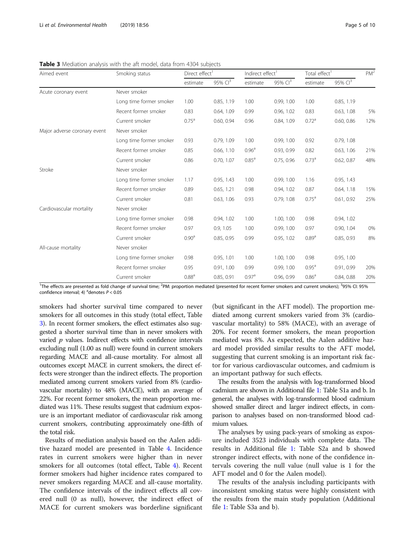<span id="page-4-0"></span>

|  |  |  | Table 3 Mediation analysis with the aft model, data from 4304 subjects |
|--|--|--|------------------------------------------------------------------------|
|--|--|--|------------------------------------------------------------------------|

| Aimed event                  | Smoking status          | Direct effect <sup>1</sup> |                     | Indirect effect <sup>1</sup> |            | Total effect <sup>1</sup> |            | PM <sup>2</sup> |
|------------------------------|-------------------------|----------------------------|---------------------|------------------------------|------------|---------------------------|------------|-----------------|
|                              |                         | estimate                   | 95% Cl <sup>3</sup> | estimate                     | 95% $Cl3$  | estimate                  | 95% $Cl3$  |                 |
| Acute coronary event         | Never smoker            |                            |                     |                              |            |                           |            |                 |
|                              | Long time former smoker | 1.00                       | 0.85, 1.19          | 1.00                         | 0.99, 1.00 | 1.00                      | 0.85, 1.19 |                 |
|                              | Recent former smoker    | 0.83                       | 0.64, 1.09          | 0.99                         | 0.96, 1.02 | 0.83                      | 0.63, 1.08 | 5%              |
|                              | Current smoker          | $0.75^{\text{a}}$          | 0.60.0.94           | 0.96                         | 0.84, 1.09 | 0.72 <sup>a</sup>         | 0.60, 0.86 | 12%             |
| Major adverse coronary event | Never smoker            |                            |                     |                              |            |                           |            |                 |
|                              | Long time former smoker | 0.93                       | 0.79, 1.09          | 1.00                         | 0.99, 1.00 | 0.92                      | 0.79, 1.08 |                 |
|                              | Recent former smoker    | 0.85                       | 0.66, 1.10          | 0.96 <sup>a</sup>            | 0.93, 0.99 | 0.82                      | 0.63, 1.06 | 21%             |
|                              | Current smoker          | 0.86                       | 0.70, 1.07          | 0.85 <sup>a</sup>            | 0.75, 0.96 | 0.73 <sup>a</sup>         | 0.62, 0.87 | 48%             |
| Stroke                       | Never smoker            |                            |                     |                              |            |                           |            |                 |
|                              | Long time former smoker | 1.17                       | 0.95, 1.43          | 1.00                         | 0.99, 1.00 | 1.16                      | 0.95, 1.43 |                 |
|                              | Recent former smoker    | 0.89                       | 0.65, 1.21          | 0.98                         | 0.94, 1.02 | 0.87                      | 0.64, 1.18 | 15%             |
|                              | Current smoker          | 0.81                       | 0.63, 1.06          | 0.93                         | 0.79, 1.08 | 0.75 <sup>a</sup>         | 0.61, 0.92 | 25%             |
| Cardiovascular mortality     | Never smoker            |                            |                     |                              |            |                           |            |                 |
|                              | Long time former smoker | 0.98                       | 0.94, 1.02          | 1.00                         | 1.00, 1.00 | 0.98                      | 0.94, 1.02 |                 |
|                              | Recent former smoker    | 0.97                       | 0.9, 1.05           | 1.00                         | 0.99, 1.00 | 0.97                      | 0.90, 1.04 | 0%              |
|                              | Current smoker          | 0.90 <sup>a</sup>          | 0.85, 0.95          | 0.99                         | 0.95, 1.02 | 0.89 <sup>a</sup>         | 0.85, 0.93 | 8%              |
| All-cause mortality          | Never smoker            |                            |                     |                              |            |                           |            |                 |
|                              | Long time former smoker | 0.98                       | 0.95, 1.01          | 1.00                         | 1.00, 1.00 | 0.98                      | 0.95, 1.00 |                 |
|                              | Recent former smoker    | 0.95                       | 0.91, 1.00          | 0.99                         | 0.99, 1.00 | $0.95^{\text{a}}$         | 0.91, 0.99 | 20%             |
|                              | Current smoker          | 0.88 <sup>a</sup>          | 0.85, 0.91          | 0.97 <sup>a</sup>            | 0.96, 0.99 | 0.86 <sup>a</sup>         | 0.84, 0.88 | 20%             |

<sup>1</sup>The effects are presented as fold change of survival time; <sup>2</sup>PM: proportion mediated (presented for recent former smokers and current smokers); <sup>3</sup>95% CI: 95% confidence interval; 4) <sup>a</sup>denotes  $P < 0.05$ 

smokers had shorter survival time compared to never smokers for all outcomes in this study (total effect, Table 3). In recent former smokers, the effect estimates also suggested a shorter survival time than in never smokers with varied  $p$  values. Indirect effects with confidence intervals excluding null (1.00 as null) were found in current smokers regarding MACE and all-cause mortality. For almost all outcomes except MACE in current smokers, the direct effects were stronger than the indirect effects. The proportion mediated among current smokers varied from 8% (cardiovascular mortality) to 48% (MACE), with an average of 22%. For recent former smokers, the mean proportion mediated was 11%. These results suggest that cadmium exposure is an important mediator of cardiovascular risk among current smokers, contributing approximately one-fifth of the total risk.

Results of mediation analysis based on the Aalen additive hazard model are presented in Table [4](#page-5-0). Incidence rates in current smokers were higher than in never smokers for all outcomes (total effect, Table [4](#page-5-0)). Recent former smokers had higher incidence rates compared to never smokers regarding MACE and all-cause mortality. The confidence intervals of the indirect effects all covered null (0 as null), however, the indirect effect of MACE for current smokers was borderline significant

(but significant in the AFT model). The proportion mediated among current smokers varied from 3% (cardiovascular mortality) to 58% (MACE), with an average of 20%. For recent former smokers, the mean proportion mediated was 8%. As expected, the Aalen additive hazard model provided similar results to the AFT model, suggesting that current smoking is an important risk factor for various cardiovascular outcomes, and cadmium is an important pathway for such effects.

The results from the analysis with log-transformed blood cadmium are shown in Additional file [1:](#page-7-0) Table S1a and b. In general, the analyses with log-transformed blood cadmium showed smaller direct and larger indirect effects, in comparison to analyses based on non-transformed blood cadmium values.

The analyses by using pack-years of smoking as exposure included 3523 individuals with complete data. The results in Additional file [1:](#page-7-0) Table S2a and b showed stronger indirect effects, with none of the confidence intervals covering the null value (null value is 1 for the AFT model and 0 for the Aalen model).

The results of the analysis including participants with inconsistent smoking status were highly consistent with the results from the main study population (Additional file [1:](#page-7-0) Table S3a and b).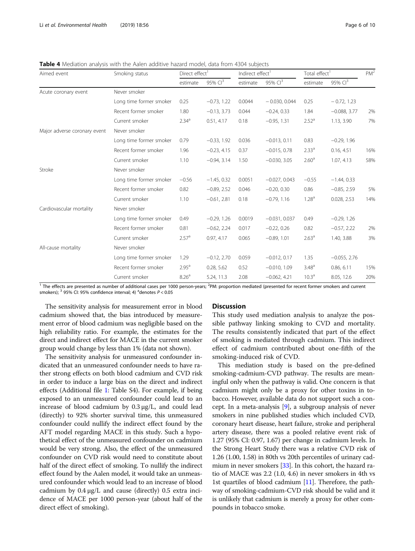<span id="page-5-0"></span>Table 4 Mediation analysis with the Aalen additive hazard model, data from 4304 subjects

| Aimed event                  | Smoking status          | Direct effect <sup>1</sup> |                     | Indirect effect <sup>1</sup> |                 | Total effect <sup>1</sup> |                 | PM <sup>2</sup> |
|------------------------------|-------------------------|----------------------------|---------------------|------------------------------|-----------------|---------------------------|-----------------|-----------------|
|                              |                         | estimate                   | 95% Cl <sup>3</sup> | estimate                     | 95% $Cl3$       | estimate                  | 95% $Cl3$       |                 |
| Acute coronary event         | Never smoker            |                            |                     |                              |                 |                           |                 |                 |
|                              | Long time former smoker | 0.25                       | $-0.73, 1.22$       | 0.0044                       | $-0.030, 0.044$ | 0.25                      | $-0.72, 1.23$   |                 |
|                              | Recent former smoker    | 1.80                       | $-0.13, 3.73$       | 0.044                        | $-0.24, 0.33$   | 1.84                      | $-0.088, 3.77$  | 2%              |
|                              | Current smoker          | 2.34 <sup>a</sup>          | 0.51, 4.17          | 0.18                         | $-0.95, 1.31$   | 2.52 <sup>a</sup>         | 1.13, 3.90      | 7%              |
| Major adverse coronary event | Never smoker            |                            |                     |                              |                 |                           |                 |                 |
|                              | Long time former smoker | 0.79                       | $-0.33, 1.92$       | 0.036                        | $-0.013, 0.11$  | 0.83                      | $-0.29, 1.96$   |                 |
|                              | Recent former smoker    | 1.96                       | $-0.23, 4.15$       | 0.37                         | $-0.015, 0.78$  | 2.33 <sup>a</sup>         | 0.16, 4.51      | 16%             |
|                              | Current smoker          | 1.10                       | $-0.94, 3.14$       | 1.50                         | $-0.030, 3.05$  | 2.60 <sup>a</sup>         | 1.07, 4.13      | 58%             |
| Stroke                       | Never smoker            |                            |                     |                              |                 |                           |                 |                 |
|                              | Long time former smoker | $-0.56$                    | $-1.45, 0.32$       | 0.0051                       | $-0.027, 0.043$ | $-0.55$                   | $-1.44, 0.33$   |                 |
|                              | Recent former smoker    | 0.82                       | $-0.89, 2.52$       | 0.046                        | $-0.20, 0.30$   | 0.86                      | $-0.85, 2.59$   | 5%              |
|                              | Current smoker          | 1.10                       | $-0.61, 2.81$       | 0.18                         | $-0.79, 1.16$   | 1.28 <sup>a</sup>         | 0.028, 2.53     | 14%             |
| Cardiovascular mortality     | Never smoker            |                            |                     |                              |                 |                           |                 |                 |
|                              | Long time former smoker | 0.49                       | $-0.29, 1.26$       | 0.0019                       | $-0.031, 0.037$ | 0.49                      | $-0.29, 1.26$   |                 |
|                              | Recent former smoker    | 0.81                       | $-0.62, 2.24$       | 0.017                        | $-0.22, 0.26$   | 0.82                      | $-0.57, 2.22$   | 2%              |
|                              | Current smoker          | 2.57 <sup>a</sup>          | 0.97, 4.17          | 0.065                        | $-0.89, 1.01$   | 2.63 <sup>a</sup>         | 1.40, 3.88      | 3%              |
| All-cause mortality          | Never smoker            |                            |                     |                              |                 |                           |                 |                 |
|                              | Long time former smoker | 1.29                       | $-0.12, 2.70$       | 0.059                        | $-0.012, 0.17$  | 1.35                      | $-0.055$ , 2.76 |                 |
|                              | Recent former smoker    | 2.95 <sup>a</sup>          | 0.28, 5.62          | 0.52                         | $-0.010, 1.09$  | 3.48 <sup>a</sup>         | 0.86, 6.11      | 15%             |
|                              | Current smoker          | 8.26 <sup>a</sup>          | 5.24, 11.3          | 2.08                         | $-0.062, 4.21$  | 10.3 <sup>a</sup>         | 8.05, 12.6      | 20%             |

<sup>1</sup> The effects are presented as number of additional cases per 1000 person-years; <sup>2</sup>PM: proportion mediated (presented for recent former smokers and current smokers);  $^3$  95% CI: 95% confidence interval; 4) <sup>a</sup>denotes  $P < 0.05$ 

The sensitivity analysis for measurement error in blood cadmium showed that, the bias introduced by measurement error of blood cadmium was negligible based on the high reliability ratio. For example, the estimates for the direct and indirect effect for MACE in the current smoker group would change by less than 1% (data not shown).

The sensitivity analysis for unmeasured confounder indicated that an unmeasured confounder needs to have rather strong effects on both blood cadmium and CVD risk in order to induce a large bias on the direct and indirect effects (Additional file [1:](#page-7-0) Table S4). For example, if being exposed to an unmeasured confounder could lead to an increase of blood cadmium by 0.3 μg/L, and could lead (directly) to 92% shorter survival time, this unmeasured confounder could nullify the indirect effect found by the AFT model regarding MACE in this study. Such a hypothetical effect of the unmeasured confounder on cadmium would be very strong. Also, the effect of the unmeasured confounder on CVD risk would need to constitute about half of the direct effect of smoking. To nullify the indirect effect found by the Aalen model, it would take an unmeasured confounder which would lead to an increase of blood cadmium by 0.4 μg/L and cause (directly) 0.5 extra incidence of MACE per 1000 person-year (about half of the direct effect of smoking).

#### **Discussion**

This study used mediation analysis to analyze the possible pathway linking smoking to CVD and mortality. The results consistently indicated that part of the effect of smoking is mediated through cadmium. This indirect effect of cadmium contributed about one-fifth of the smoking-induced risk of CVD.

This mediation study is based on the pre-defined smoking-cadmium-CVD pathway. The results are meaningful only when the pathway is valid. One concern is that cadmium might only be a proxy for other toxins in tobacco. However, available data do not support such a concept. In a meta-analysis [[9\]](#page-8-0), a subgroup analysis of never smokers in nine published studies which included CVD, coronary heart disease, heart failure, stroke and peripheral artery disease, there was a pooled relative event risk of 1.27 (95% CI: 0.97, 1.67) per change in cadmium levels. In the Strong Heart Study there was a relative CVD risk of 1.26 (1.00, 1.58) in 80th vs 20th percentiles of urinary cadmium in never smokers [\[33](#page-8-0)]. In this cohort, the hazard ratio of MACE was 2.2 (1.0, 4.6) in never smokers in 4th vs 1st quartiles of blood cadmium [\[11](#page-8-0)]. Therefore, the pathway of smoking-cadmium-CVD risk should be valid and it is unlikely that cadmium is merely a proxy for other compounds in tobacco smoke.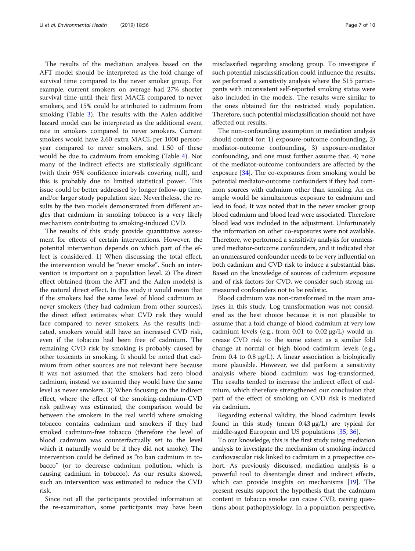The results of the mediation analysis based on the AFT model should be interpreted as the fold change of survival time compared to the never smoker group. For example, current smokers on average had 27% shorter survival time until their first MACE compared to never smokers, and 15% could be attributed to cadmium from smoking (Table [3](#page-4-0)). The results with the Aalen additive hazard model can be interpreted as the additional event rate in smokers compared to never smokers. Current smokers would have 2.60 extra MACE per 1000 personyear compared to never smokers, and 1.50 of these would be due to cadmium from smoking (Table [4\)](#page-5-0). Not many of the indirect effects are statistically significant (with their 95% confidence intervals covering null), and this is probably due to limited statistical power. This issue could be better addressed by longer follow-up time, and/or larger study population size. Nevertheless, the results by the two models demonstrated from different angles that cadmium in smoking tobacco is a very likely mechanism contributing to smoking-induced CVD.

The results of this study provide quantitative assessment for effects of certain interventions. However, the potential intervention depends on which part of the effect is considered. 1) When discussing the total effect, the intervention would be "never smoke". Such an intervention is important on a population level. 2) The direct effect obtained (from the AFT and the Aalen models) is the natural direct effect. In this study it would mean that if the smokers had the same level of blood cadmium as never smokers (they had cadmium from other sources), the direct effect estimates what CVD risk they would face compared to never smokers. As the results indicated, smokers would still have an increased CVD risk, even if the tobacco had been free of cadmium. The remaining CVD risk by smoking is probably caused by other toxicants in smoking. It should be noted that cadmium from other sources are not relevant here because it was not assumed that the smokers had zero blood cadmium, instead we assumed they would have the same level as never smokers. 3) When focusing on the indirect effect, where the effect of the smoking-cadmium-CVD risk pathway was estimated, the comparison would be between the smokers in the real world where smoking tobacco contains cadmium and smokers if they had smoked cadmium-free tobacco (therefore the level of blood cadmium was counterfactually set to the level which it naturally would be if they did not smoke). The intervention could be defined as "to ban cadmium in tobacco" (or to decrease cadmium pollution, which is causing cadmium in tobacco). As our results showed, such an intervention was estimated to reduce the CVD risk.

Since not all the participants provided information at the re-examination, some participants may have been misclassified regarding smoking group. To investigate if such potential misclassification could influence the results, we performed a sensitivity analysis where the 515 participants with inconsistent self-reported smoking status were also included in the models. The results were similar to the ones obtained for the restricted study population. Therefore, such potential misclassification should not have affected our results.

The non-confounding assumption in mediation analysis should control for: 1) exposure-outcome confounding, 2) mediator-outcome confounding, 3) exposure-mediator confounding, and one must further assume that, 4) none of the mediator-outcome confounders are affected by the exposure [\[34\]](#page-8-0). The co-exposures from smoking would be potential mediator-outcome confounders if they had common sources with cadmium other than smoking. An example would be simultaneous exposure to cadmium and lead in food. It was noted that in the never smoker group blood cadmium and blood lead were associated. Therefore blood lead was included in the adjustment. Unfortunately the information on other co-exposures were not available. Therefore, we performed a sensitivity analysis for unmeasured mediator-outcome confounders, and it indicated that an unmeasured confounder needs to be very influential on both cadmium and CVD risk to induce a substantial bias. Based on the knowledge of sources of cadmium exposure and of risk factors for CVD, we consider such strong unmeasured confounders not to be realistic.

Blood cadmium was non-transformed in the main analyses in this study. Log transformation was not considered as the best choice because it is not plausible to assume that a fold change of blood cadmium at very low cadmium levels (e.g., from 0.01 to  $0.02 \mu g/L$ ) would increase CVD risk to the same extent as a similar fold change at normal or high blood cadmium levels (e.g., from 0.4 to 0.8 μg/L). A linear association is biologically more plausible. However, we did perform a sensitivity analysis where blood cadmium was log-transformed. The results tended to increase the indirect effect of cadmium, which therefore strengthened our conclusion that part of the effect of smoking on CVD risk is mediated via cadmium.

Regarding external validity, the blood cadmium levels found in this study (mean 0.43 μg/L) are typical for middle-aged European and US populations [\[35,](#page-8-0) [36\]](#page-8-0).

To our knowledge, this is the first study using mediation analysis to investigate the mechanism of smoking-induced cardiovascular risk linked to cadmium in a prospective cohort. As previously discussed, mediation analysis is a powerful tool to disentangle direct and indirect effects, which can provide insights on mechanisms [[19\]](#page-8-0). The present results support the hypothesis that the cadmium content in tobacco smoke can cause CVD, raising questions about pathophysiology. In a population perspective,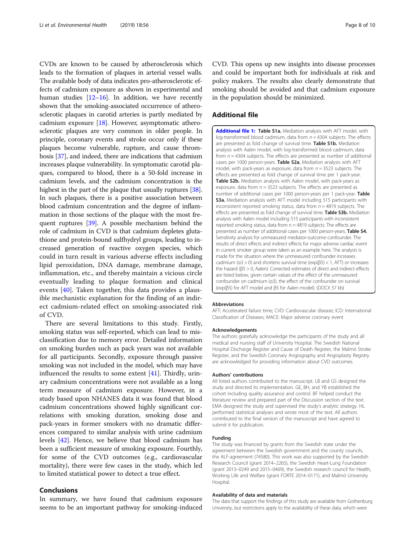<span id="page-7-0"></span>CVDs are known to be caused by atherosclerosis which leads to the formation of plaques in arterial vessel walls. The available body of data indicates pro-atherosclerotic effects of cadmium exposure as shown in experimental and human studies [\[12](#page-8-0)–[16](#page-8-0)]. In addition, we have recently shown that the smoking-associated occurrence of atherosclerotic plaques in carotid arteries is partly mediated by cadmium exposure [\[18](#page-8-0)]. However, asymptomatic atherosclerotic plaques are very common in older people. In principle, coronary events and stroke occur only if these plaques become vulnerable, rupture, and cause thrombosis [[37](#page-8-0)], and indeed, there are indications that cadmium increases plaque vulnerability. In symptomatic carotid plaques, compared to blood, there is a 50-fold increase in cadmium levels, and the cadmium concentration is the highest in the part of the plaque that usually ruptures [[38](#page-9-0)]. In such plaques, there is a positive association between blood cadmium concentration and the degree of inflammation in those sections of the plaque with the most frequent ruptures [\[39](#page-9-0)]. A possible mechanism behind the role of cadmium in CVD is that cadmium depletes glutathione and protein-bound sulfhydryl groups, leading to increased generation of reactive oxygen species, which could in turn result in various adverse effects including lipid peroxidation, DNA damage, membrane damage, inflammation, etc., and thereby maintain a vicious circle eventually leading to plaque formation and clinical events [[40](#page-9-0)]. Taken together, this data provides a plausible mechanistic explanation for the finding of an indirect cadmium-related effect on smoking-associated risk of CVD.

There are several limitations to this study. Firstly, smoking status was self-reported, which can lead to misclassification due to memory error. Detailed information on smoking burden such as pack years was not available for all participants. Secondly, exposure through passive smoking was not included in the model, which may have influenced the results to some extent [\[41](#page-9-0)]. Thirdly, urinary cadmium concentrations were not available as a long term measure of cadmium exposure. However, in a study based upon NHANES data it was found that blood cadmium concentrations showed highly significant correlations with smoking duration, smoking dose and pack-years in former smokers with no dramatic differences compared to similar analysis with urine cadmium levels [[42](#page-9-0)]. Hence, we believe that blood cadmium has been a sufficient measure of smoking exposure. Fourthly, for some of the CVD outcomes (e.g., cardiovascular mortality), there were few cases in the study, which led to limited statistical power to detect a true effect.

## Conclusions

In summary, we have found that cadmium exposure seems to be an important pathway for smoking-induced CVD. This opens up new insights into disease processes and could be important both for individuals at risk and policy makers. The results also clearly demonstrate that smoking should be avoided and that cadmium exposure in the population should be minimized.

## Additional file

[Additional file 1:](https://doi.org/10.1186/s12940-019-0495-1) Table S1a. Mediation analysis with AFT model, with log-transformed blood cadmium, data from  $n = 4304$  subjects. The effects are presented as fold change of survival time. Table S1b. Mediation analysis with Aalen model, with log-transformed blood cadmium, data from n = 4304 subjects. The effects are presented as number of additional cases per 1000 person-years. Table S2a. Mediation analysis with AFT model, with pack-years as exposure, data from  $n = 3523$  subjects. The effects are presented as fold change of survival time per 1 pack-year. Table S2b. Mediation analysis with Aalen model, with pack-years as exposure, data from  $n = 3523$  subjects. The effects are presented as number of additional cases per 1000 person-years per 1 pack-year. Table S3a. Mediation analysis with AFT model including 515 participants with inconsistent reported smoking status, data from  $n = 4819$  subjects. The effects are presented as fold change of survival time. Table S3b. Mediation analysis with Aalen model including 515 participants with inconsistent reported smoking status, data from  $n = 4819$  subjects. The effects are presented as number of additional cases per 1000 person-years. Table S4. Sensitivity analysis for unmeasured mediator-outcome confounder. The results of direct effects and indirect effects for major adverse cardiac event in current smoker group were taken as an example here. The analysis is made for the situation where the unmeasured confounder increases cadmium (α3 > 0) and shortens survival time (exp(β5) < 1, AFT) or increases the hazard (β5 > 0, Aalen). Corrected estimates of direct and indirect effects are listed below, given certain values of the effect of the unmeasured confounder on cadmium (α3), the effect of the confounder on survival (exp(β5) for AFT model and β5 for Aalen model). (DOCX 57 kb)

#### Abbreviations

AFT: Accelerated failure time; CVD: Cardiovascular disease; ICD: International Classification of Diseases; MACE: Major adverse coronary event

#### Acknowledgements

The authors gratefully acknowledge the participants of the study and all medical and nursing staff of University Hospital. The Swedish National Hospital Discharge Register and Cause of Death Register, the Malmö Stroke Register, and the Swedish Coronary Angiography and Angioplasty Registry are acknowledged for providing information about CVD outcomes.

#### Authors' contributions

All listed authors contributed to the manuscript. LB and GS designed the study and directed its implementation. GE, BH, and YB established the cohort including quality assurance and control. BF helped conduct the literature review and prepared part of the Discussion section of the text. EMA designed the study and supervised the study's analytic strategy. HL performed statistical analyses and wrote most of the text. All authors contributed to the final version of the manuscript and have agreed to submit it for publication.

#### Funding

The study was financed by grants from the Swedish state under the agreement between the Swedish government and the county councils, the ALF-agreement (74580). This work was also supported by the Swedish Research Council (grant 2014–2265), the Swedish Heart-Lung Foundation (grant 2013–0249 and 2015–0469), the Swedish research council for Health, Working Life and Welfare (grant FORTE 2014–0171), and Malmö University Hospital.

#### Availability of data and materials

The data that support the findings of this study are available from Gothenburg University, but restrictions apply to the availability of these data, which were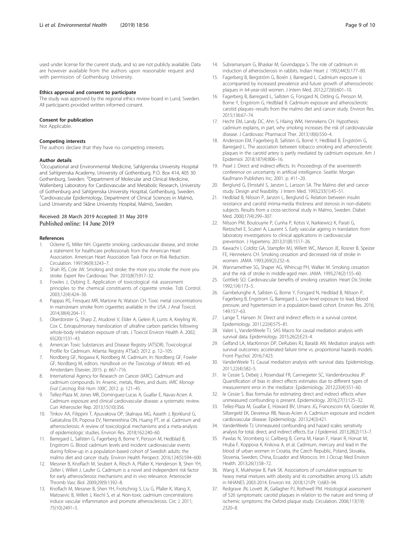<span id="page-8-0"></span>used under license for the current study, and so are not publicly available. Data are however available from the authors upon reasonable request and with permission of Gothenburg University.

#### Ethics approval and consent to participate

The study was approved by the regional ethics review board in Lund, Sweden. All participants provided written informed consent.

#### Consent for publication

Not Applicable.

#### Competing interests

The authors declare that they have no competing interests.

#### Author details

<sup>1</sup>Occupational and Environmental Medicine, Sahlgrenska University Hospital and Sahlgrenska Academy, University of Gothenburg, P.O. Box 414, 405 30 Gothenburg, Sweden. <sup>2</sup>Department of Molecular and Clinical Medicine, Wallenberg Laboratory for Cardiovascular and Metabolic Research, University of Gothenburg and Sahlgrenska University Hospital, Gothenburg, Sweden. <sup>3</sup>Cardiovascular Epidemiology, Department of Clinical Sciences in Malmö, Lund University and Skåne University Hospital, Malmö, Sweden.

### Received: 28 March 2019 Accepted: 31 May 2019 Published online: 14 June 2019

#### References

- 1. Ockene IS, Miller NH. Cigarette smoking, cardiovascular disease, and stroke: a statement for healthcare professionals from the American Heart Association. American Heart Association Task Force on Risk Reduction. Circulation. 1997;96(9):3243–7.
- Shah RS, Cole JW. Smoking and stroke: the more you smoke the more you stroke. Expert Rev Cardiovasc Ther. 2010;8(7):917–32.
- 3. Fowles J, Dybing E. Application of toxicological risk assessment principles to the chemical constituents of cigarette smoke. Tob Control. 2003;12(4):424–30.
- Pappas RS, Fresquez MR, Martone N, Watson CH. Toxic metal concentrations in mainstream smoke from cigarettes available in the USA. J Anal Toxicol. 2014;38(4):204–11.
- 5. Oberdorster G, Sharp Z, Atudorei V, Elder A, Gelein R, Lunts A, Kreyling W, Cox C. Extrapulmonary translocation of ultrafine carbon particles following whole-body inhalation exposure of rats. J Toxicol Environ Health A. 2002; 65(20):1531–43.
- 6. American Toxic Substances and Disease Registry (ATSDR). Toxicological Profile for Cadmium. Atlanta: Registry ATSaD; 2012. p. 12–105.
- 7. Nordberg GF, Nogawa K, Nordberg M. Cadmium. In: Nordberg GF, Fowler GF, Nordberg M, editors. Handbook on the Toxicology of Metals. 4th ed. Amsterdam: Elsevier; 2015. p. 667–716.
- 8. International Agency for Research on Cancer (IARC). Cadmium and cadmium compounds. In: Arsenic, metals, fibres, and dusts. IARC Monogr Eval Carcinog Risk Hum 100C; 2012. p. 121–45.
- 9. Tellez-Plaza M, Jones MR, Dominguez-Lucas A, Guallar E, Navas-Acien A. Cadmium exposure and clinical cardiovascular disease: a systematic review. Curr Atheroscler Rep. 2013;15(10):356.
- 10. Tinkov AA, Filippini T, Ajsuvakova OP, Skalnaya MG, Aaseth J, Bjorklund G, Gatiatulina ER, Popova EV, Nemereshina ON, Huang PT, et al. Cadmium and atherosclerosis: A review of toxicological mechanisms and a meta-analysis of epidemiologic studies. Environ Res. 2018;162:240–60.
- 11. Barregard L, Sallsten G, Fagerberg B, Borne Y, Persson M, Hedblad B, Engstrom G. Blood cadmium levels and incident cardiovascular events during follow-up in a population-based cohort of Swedish adults: the malmo diet and cancer study. Environ Health Perspect. 2016;124(5):594–600.
- 12. Messner B, Knoflach M, Seubert A, Ritsch A, Pfaller K, Henderson B, Shen YH, Zeller I, Willeit J, Laufer G. Cadmium is a novel and independent risk factor for early atherosclerosis mechanisms and in vivo relevance. Arterioscler Thromb Vasc Biol. 2009;29(9):1392–8.
- 13. Knoflach M, Messner B, Shen YH, Frotschnig S, Liu G, Pfaller K, Wang X, Matosevic B, Willeit J, Kiechl S, et al. Non-toxic cadmium concentrations induce vascular inflammation and promote atherosclerosis. Circ J. 2011; 75(10):2491–5.
- 14. Subramanyam G, Bhaskar M, Govindappa S. The role of cadmium in induction of atherosclerosis in rabbits. Indian Heart J. 1992;44(3):177–80.
- 15. Fagerberg B, Bergström G, Borén J, Barregard L. Cadmium exposure is accompanied by increased prevalence and future growth of atherosclerotic plaques in 64-year-old women. J Intern Med. 2012;272(6):601–10.
- 16. Fagerberg B, Barregard L, Sallsten G, Forsgard N, Ostling G, Persson M, Borne Y, Engstrom G, Hedblad B. Cadmium exposure and atherosclerotic carotid plaques--results from the malmo diet and cancer study. Environ Res. 2015;136:67–74.
- 17. Hecht EM, Landy DC, Ahn S, Hlaing WM, Hennekens CH. Hypothesis: cadmium explains, in part, why smoking increases the risk of cardiovascular disease. J Cardiovasc Pharmacol Ther. 2013;18(6):550–4.
- 18. Andersson EM, Fagerberg B, Sallsten G, Borné Y, Hedblad B, Engström G, Barregard L. The association between tobacco smoking and atherosclerotic plaques in the carotid artery is partly mediated by cadmium exposure. Am J Epidemiol. 2018;187(4):806–16.
- 19. Pearl J. Direct and indirect effects. In: Proceedings of the seventeenth conference on uncertainty in artificial intelligence. Seattle: Morgan Kaufmann Publishers Inc; 2001. p. 411–20.
- 20. Berglund G, Elmstahl S, Janzon L, Larsson SA. The Malmo diet and cancer study. Design and feasibility. J Intern Med. 1993;233(1):45–51.
- 21. Hedblad B, Nilsson P, Janzon L, Berglund G. Relation between insulin resistance and carotid intima-media thickness and stenosis in non-diabetic subjects. Results from a cross-sectional study in Malmo, Sweden. Diabet Med. 2000;17(4):299–307.
- 22. Nilsson PM, Boutouyrie P, Cunha P, Kotsis V, Narkiewicz K, Parati G, Rietzschel E, Scuteri A, Laurent S. Early vascular ageing in translation: from laboratory investigations to clinical applications in cardiovascular prevention. J Hypertens. 2013;31(8):1517–26.
- 23. Kawachi I, Colditz GA, Stampfer MJ, Willett WC, Manson JE, Rosner B, Speizer FE, Hennekens CH. Smoking cessation and decreased risk of stroke in women. JAMA. 1993;269(2):232–6.
- 24. Wannamethee SG, Shaper AG, Whincup PH, Walker M. Smoking cessation and the risk of stroke in middle-aged men. JAMA. 1995;274(2):155–60.
- 25. Gottlieb SO. Cardiovascular benefits of smoking cessation. Heart Dis Stroke. 1992;1(4):173–5.
- 26. Gambelunghe A, Sallsten G, Borne Y, Forsgard N, Hedblad B, Nilsson P, Fagerberg B, Engstrom G, Barregard L. Low-level exposure to lead, blood pressure, and hypertension in a population-based cohort. Environ Res. 2016; 149:157–63.
- 27. Lange T, Hansen JV. Direct and indirect effects in a survival context. Epidemiology. 2011;22(4):575–81.
- 28. Valeri L, VanderWeele TJ. SAS Macro for causal mediation analysis with survival data. Epidemiology. 2015;26(2):E23–4.
- 29. Gelfand LA, MacKinnon DP, DeRubeis RJ, Baraldi AN. Mediation analysis with survival outcomes: accelerated failure time vs. proportional hazards models. Front Psychol. 2016;7:423.
- 30. VanderWeele TJ. Causal mediation analysis with survival data. Epidemiology. 2011;22(4):582–5.
- 31. le Cessie S, Debeij J, Rosendaal FR, Cannegieter SC, Vandenbrouckea JP. Quantification of bias in direct effects estimates due to different types of measurement error in the mediator. Epidemiology. 2012;23(4):551–60.
- 32. le Cessie S. Bias formulas for estimating direct and indirect effects when unmeasured confounding is present. Epidemiology. 2016;27(1):125–32.
- 33. Tellez-Plaza M, Guallar E, Howard BV, Umans JG, Francesconi KA, Goessler W, Silbergeld EK, Devereux RB, Navas-Acien A. Cadmium exposure and incident cardiovascular disease. Epidemiology. 2013;24(3):421.
- 34. VanderWeele TJ. Unmeasured confounding and hazard scales: sensitivity analysis for total, direct, and indirect effects. Eur J Epidemiol. 2013;28(2):113–7.
- 35. Pawlas N, Stromberg U, Carlberg B, Cerna M, Harari F, Harari R, Horvat M, Hruba F, Koppova K, Krskova A, et al. Cadmium, mercury and lead in the blood of urban women in Croatia, the Czech Republic, Poland, Slovakia, Slovenia, Sweden, China, Ecuador and Morocco. Int J Occup Med Environ Health. 2013;26(1):58–72.
- 36. Wang X, Mukherjee B, Park SK. Associations of cumulative exposure to heavy metal mixtures with obesity and its comorbidities among U.S. adults in NHANES 2003-2014. Environ Int. 2018;121(Pt 1):683–94.
- 37. Redgrave JN, Lovett JK, Gallagher PJ, Rothwell PM. Histological assessment of 526 symptomatic carotid plaques in relation to the nature and timing of ischemic symptoms: the Oxford plaque study. Circulation. 2006;113(19): 2320–8.